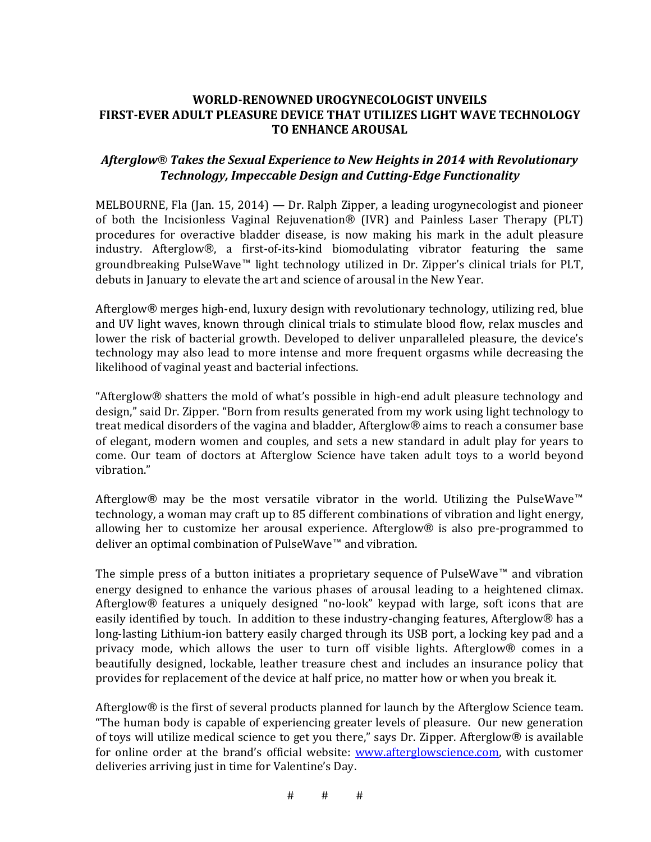## **WORLD-RENOWNED UROGYNECOLOGIST UNVEILS FIRST-EVER ADULT PLEASURE DEVICE THAT UTILIZES LIGHT WAVE TECHNOLOGY TO ENHANCE AROUSAL**

## Afterglow<sup>®</sup> Takes the Sexual Experience to New Heights in 2014 with Revolutionary **Technology, Impeccable Design and Cutting-Edge Functionality**

MELBOURNE, Fla (Jan. 15, 2014) — Dr. Ralph Zipper, a leading urogynecologist and pioneer of both the Incisionless Vaginal Rejuvenation® (IVR) and Painless Laser Therapy (PLT) procedures for overactive bladder disease, is now making his mark in the adult pleasure industry. Afterglow®, a first-of-its-kind biomodulating vibrator featuring the same groundbreaking PulseWave™ light technology utilized in Dr. Zipper's clinical trials for PLT, debuts in January to elevate the art and science of arousal in the New Year.

Afterglow® merges high-end, luxury design with revolutionary technology, utilizing red, blue and UV light waves, known through clinical trials to stimulate blood flow, relax muscles and lower the risk of bacterial growth. Developed to deliver unparalleled pleasure, the device's technology may also lead to more intense and more frequent orgasms while decreasing the likelihood of vaginal yeast and bacterial infections.

"Afterglow $\otimes$  shatters the mold of what's possible in high-end adult pleasure technology and design," said Dr. Zipper. "Born from results generated from my work using light technology to treat medical disorders of the vagina and bladder, Afterglow® aims to reach a consumer base of elegant, modern women and couples, and sets a new standard in adult play for years to come. Our team of doctors at Afterglow Science have taken adult toys to a world beyond vibration."

Afterglow<sup>®</sup> may be the most versatile vibrator in the world. Utilizing the PulseWave<sup>™</sup> technology, a woman may craft up to 85 different combinations of vibration and light energy, allowing her to customize her arousal experience. Afterglow<sup>®</sup> is also pre-programmed to deliver an optimal combination of PulseWave™ and vibration.

The simple press of a button initiates a proprietary sequence of PulseWave™ and vibration energy designed to enhance the various phases of arousal leading to a heightened climax. Afterglow $\circledR$  features a uniquely designed "no-look" keypad with large, soft icons that are easily identified by touch. In addition to these industry-changing features, Afterglow® has a long-lasting Lithium-ion battery easily charged through its USB port, a locking key pad and a privacy mode, which allows the user to turn off visible lights. Afterglow® comes in a beautifully designed, lockable, leather treasure chest and includes an insurance policy that provides for replacement of the device at half price, no matter how or when you break it.

Afterglow $\circledR$  is the first of several products planned for launch by the Afterglow Science team. "The human body is capable of experiencing greater levels of pleasure. Our new generation of toys will utilize medical science to get you there," says Dr. Zipper. Afterglow® is available for online order at the brand's official website: www.afterglowscience.com, with customer deliveries arriving just in time for Valentine's Day.

 $\#$   $\#$   $\#$   $\#$